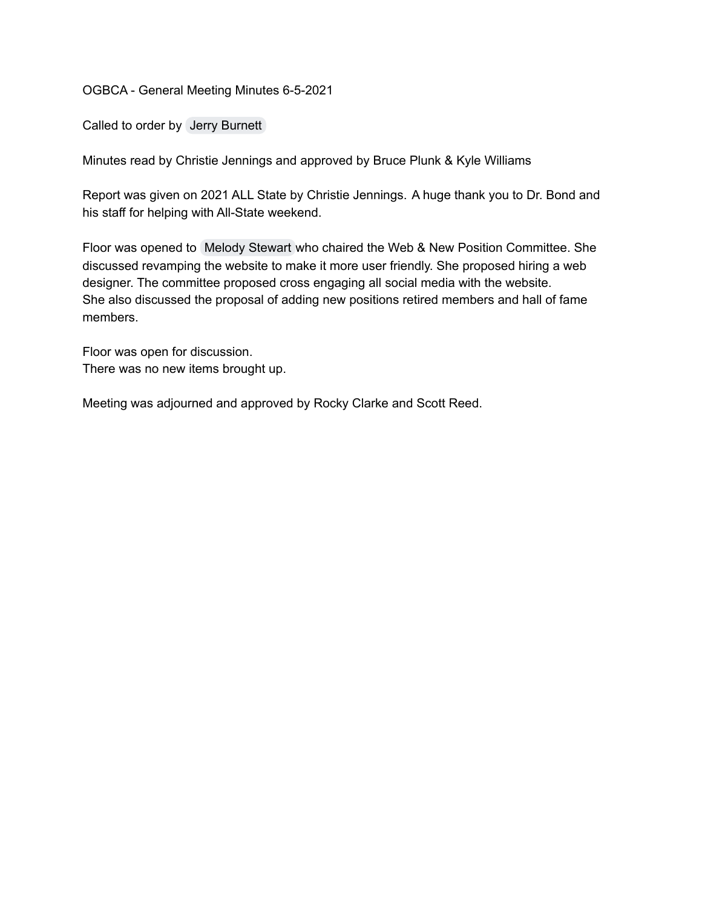OGBCA - General Meeting Minutes 6-5-2021

Called to order by Jerry [Burnett](mailto:jmburnett@p-t.k12.ok.us)

Minutes read by Christie Jennings and approved by Bruce Plunk & Kyle Williams

Report was given on 2021 ALL State by Christie Jennings. A huge thank you to Dr. Bond and his staff for helping with All-State weekend.

Floor was opened to Melody [Stewart](mailto:mstewart@lincolnchristianschool.com) who chaired the Web & New Position Committee. She discussed revamping the website to make it more user friendly. She proposed hiring a web designer. The committee proposed cross engaging all social media with the website. She also discussed the proposal of adding new positions retired members and hall of fame members.

Floor was open for discussion. There was no new items brought up.

Meeting was adjourned and approved by Rocky Clarke and Scott Reed.